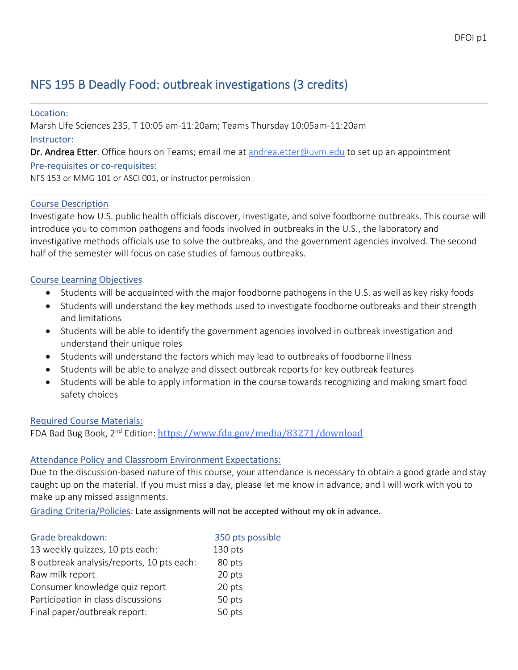# NFS 195 B Deadly Food: outbreak investigations (3 credits)

Location: Marsh Life Sciences 235, T 10:05 am-11:20am; Teams Thursday 10:05am-11:20am Instructor: Dr. Andrea Etter. Office hours on Teams; email me at andrea.etter@uvm.edu to set up an appointment Pre-requisites or co-requisites: NFS 153 or MMG 101 or ASCI 001, or instructor permission

### Course Description

Investigate how U.S. public health officials discover, investigate, and solve foodborne outbreaks. This course will introduce you to common pathogens and foods involved in outbreaks in the U.S., the laboratory and investigative methods officials use to solve the outbreaks, and the government agencies involved. The second half of the semester will focus on case studies of famous outbreaks.

### Course Learning Objectives

- Students will be acquainted with the major foodborne pathogens in the U.S. as well as key risky foods
- Students will understand the key methods used to investigate foodborne outbreaks and their strength and limitations
- Students will be able to identify the government agencies involved in outbreak investigation and understand their unique roles
- Students will understand the factors which may lead to outbreaks of foodborne illness
- Students will be able to analyze and dissect outbreak reports for key outbreak features
- Students will be able to apply information in the course towards recognizing and making smart food safety choices

#### Required Course Materials:

FDA Bad Bug Book, 2<sup>nd</sup> Edition: https://www.fda.gov/media/83271/download

### Attendance Policy and Classroom Environment Expectations:

Due to the discussion-based nature of this course, your attendance is necessary to obtain a good grade and stay caught up on the material. If you must miss a day, please let me know in advance, and I will work with you to make up any missed assignments.

Grading Criteria/Policies: Late assignments will not be accepted without my ok in advance.

| Grade breakdown:                          | 350 pts possible |
|-------------------------------------------|------------------|
| 13 weekly quizzes, 10 pts each:           | 130 pts          |
| 8 outbreak analysis/reports, 10 pts each: | 80 pts           |
| Raw milk report                           | 20 pts           |
| Consumer knowledge quiz report            | 20 pts           |
| Participation in class discussions        | 50 pts           |
| Final paper/outbreak report:              | 50 pts           |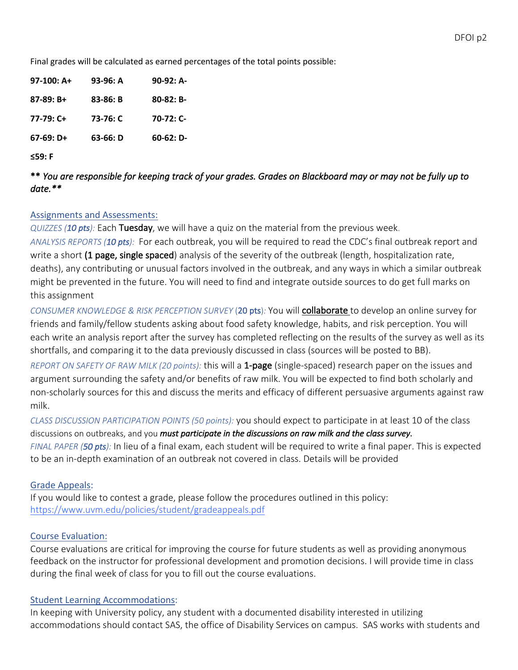Final grades will be calculated as earned percentages of the total points possible:

| $97-100:$ A+ | 93-96: A | $90-92: A-$ |
|--------------|----------|-------------|
| $87-89: B+$  | 83-86: B | $80-82: B-$ |
| $77-79:$ C+  | 73-76: C | $70-72:$ C- |
| $67-69: D+$  | 63-66: D | $60-62: D-$ |
|              |          |             |

**≤59: F**

\*\* *You are responsible for keeping track of your grades. Grades on Blackboard may or may not be fully up to date.\*\** 

#### Assignments and Assessments:

*QUIZZES (10 pts):* Each Tuesday, we will have a quiz on the material from the previous week. *ANALYSIS REPORTS (10 pts):* For each outbreak, you will be required to read the CDC's final outbreak report and write a short (1 page, single spaced) analysis of the severity of the outbreak (length, hospitalization rate, deaths), any contributing or unusual factors involved in the outbreak, and any ways in which a similar outbreak might be prevented in the future. You will need to find and integrate outside sources to do get full marks on this assignment

*CONSUMER KNOWLEDGE & RISK PERCEPTION SURVEY* (20 pts)*:* You will collaborate to develop an online survey for friends and family/fellow students asking about food safety knowledge, habits, and risk perception. You will each write an analysis report after the survey has completed reflecting on the results of the survey as well as its shortfalls, and comparing it to the data previously discussed in class (sources will be posted to BB).

*REPORT ON SAFETY OF RAW MILK (20 points):* this will a 1-page (single-spaced) research paper on the issues and argument surrounding the safety and/or benefits of raw milk. You will be expected to find both scholarly and non-scholarly sources for this and discuss the merits and efficacy of different persuasive arguments against raw milk.

*CLASS DISCUSSION PARTICIPATION POINTS (50 points):* you should expect to participate in at least 10 of the class discussions on outbreaks, and you *must participate in the discussions on raw milk and the class survey*. *FINAL PAPER (50 pts):* In lieu of a final exam, each student will be required to write a final paper. This is expected to be an in-depth examination of an outbreak not covered in class. Details will be provided

#### Grade Appeals:

If you would like to contest a grade, please follow the procedures outlined in this policy: https://www.uvm.edu/policies/student/gradeappeals.pdf

#### Course Evaluation:

Course evaluations are critical for improving the course for future students as well as providing anonymous feedback on the instructor for professional development and promotion decisions. I will provide time in class during the final week of class for you to fill out the course evaluations.

#### Student Learning Accommodations:

In keeping with University policy, any student with a documented disability interested in utilizing accommodations should contact SAS, the office of Disability Services on campus. SAS works with students and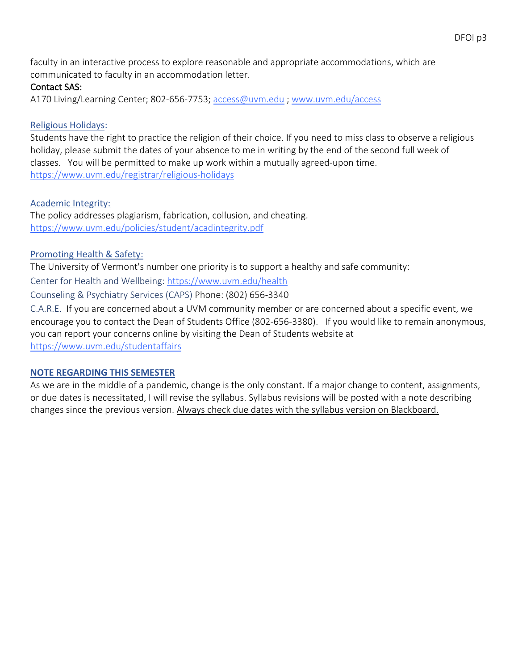faculty in an interactive process to explore reasonable and appropriate accommodations, which are communicated to faculty in an accommodation letter.

### Contact SAS:

A170 Living/Learning Center; 802-656-7753; access@uvm.edu ; www.uvm.edu/access

# Religious Holidays:

Students have the right to practice the religion of their choice. If you need to miss class to observe a religious holiday, please submit the dates of your absence to me in writing by the end of the second full week of classes. You will be permitted to make up work within a mutually agreed-upon time. https://www.uvm.edu/registrar/religious-holidays

## Academic Integrity:

The policy addresses plagiarism, fabrication, collusion, and cheating. https://www.uvm.edu/policies/student/acadintegrity.pdf

# Promoting Health & Safety:

The University of Vermont's number one priority is to support a healthy and safe community:

Center for Health and Wellbeing: https://www.uvm.edu/health

Counseling & Psychiatry Services (CAPS) Phone: (802) 656-3340

C.A.R.E. If you are concerned about a UVM community member or are concerned about a specific event, we encourage you to contact the Dean of Students Office (802-656-3380). If you would like to remain anonymous, you can report your concerns online by visiting the Dean of Students website at

https://www.uvm.edu/studentaffairs

# **NOTE REGARDING THIS SEMESTER**

As we are in the middle of a pandemic, change is the only constant. If a major change to content, assignments, or due dates is necessitated, I will revise the syllabus. Syllabus revisions will be posted with a note describing changes since the previous version. Always check due dates with the syllabus version on Blackboard.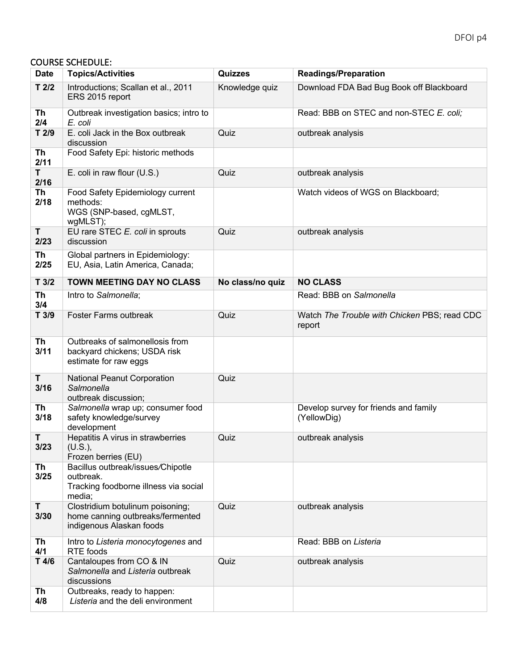#### COURSE SCHEDULE:

| <b>Date</b>       | <b>Topics/Activities</b>                                                                          | <b>Quizzes</b>   | <b>Readings/Preparation</b>                            |
|-------------------|---------------------------------------------------------------------------------------------------|------------------|--------------------------------------------------------|
| $T$ 2/2           | Introductions; Scallan et al., 2011<br>ERS 2015 report                                            | Knowledge quiz   | Download FDA Bad Bug Book off Blackboard               |
| Th<br>2/4         | Outbreak investigation basics; intro to<br>E. coli                                                |                  | Read: BBB on STEC and non-STEC E. coli;                |
| T2/9              | E. coli Jack in the Box outbreak<br>discussion                                                    | Quiz             | outbreak analysis                                      |
| Th<br>2/11        | Food Safety Epi: historic methods                                                                 |                  |                                                        |
| T.<br>2/16        | E. coli in raw flour (U.S.)                                                                       | Quiz             | outbreak analysis                                      |
| <b>Th</b><br>2/18 | Food Safety Epidemiology current<br>methods:<br>WGS (SNP-based, cgMLST,<br>wgMLST);               |                  | Watch videos of WGS on Blackboard;                     |
| T<br>2/23         | EU rare STEC E. coli in sprouts<br>discussion                                                     | Quiz             | outbreak analysis                                      |
| Th<br>2/25        | Global partners in Epidemiology:<br>EU, Asia, Latin America, Canada;                              |                  |                                                        |
| T3/2              | TOWN MEETING DAY NO CLASS                                                                         | No class/no quiz | <b>NO CLASS</b>                                        |
| <b>Th</b><br>3/4  | Intro to Salmonella;                                                                              |                  | Read: BBB on Salmonella                                |
| T 3/9             | Foster Farms outbreak                                                                             | Quiz             | Watch The Trouble with Chicken PBS; read CDC<br>report |
| Th<br>3/11        | Outbreaks of salmonellosis from<br>backyard chickens; USDA risk<br>estimate for raw eggs          |                  |                                                        |
| Τ<br>3/16         | National Peanut Corporation<br>Salmonella<br>outbreak discussion;                                 | Quiz             |                                                        |
| Th<br>3/18        | Salmonella wrap up; consumer food<br>safety knowledge/survey<br>development                       |                  | Develop survey for friends and family<br>(YellowDig)   |
| T<br>3/23         | Hepatitis A virus in strawberries<br>(U.S.),<br>Frozen berries (EU)                               | Quiz             | outbreak analysis                                      |
| Th<br>3/25        | Bacillus outbreak/issues/Chipotle<br>outbreak.<br>Tracking foodborne illness via social<br>media; |                  |                                                        |
| T<br>3/30         | Clostridium botulinum poisoning;<br>home canning outbreaks/fermented<br>indigenous Alaskan foods  | Quiz             | outbreak analysis                                      |
| Th<br>4/1         | Intro to Listeria monocytogenes and<br><b>RTE</b> foods                                           |                  | Read: BBB on Listeria                                  |
| $T$ 4/6           | Cantaloupes from CO & IN<br>Salmonella and Listeria outbreak<br>discussions                       | Quiz             | outbreak analysis                                      |
| Th<br>4/8         | Outbreaks, ready to happen:<br>Listeria and the deli environment                                  |                  |                                                        |